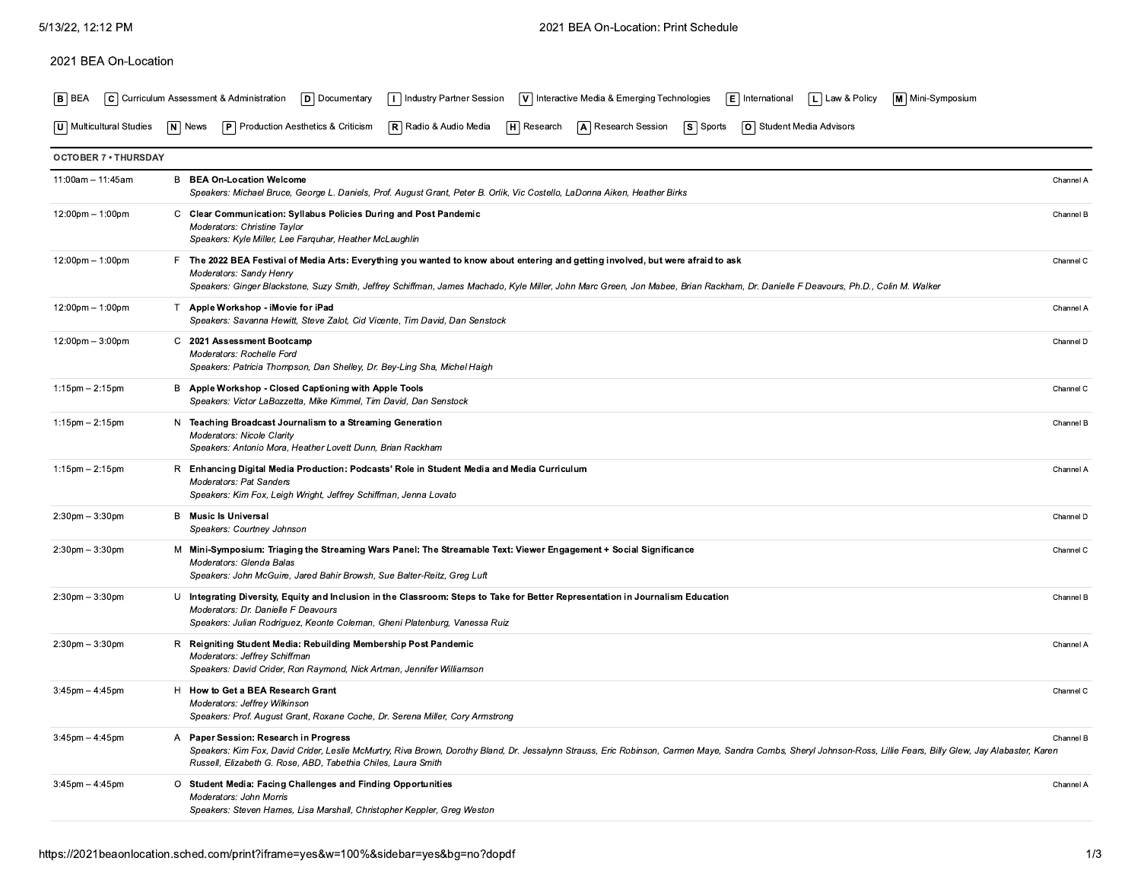## 2021 BEA On-Location

|  |  | B BEA C Curriculum Assessment & Administration D Documentary I Industry Partner Session V Interactive Media & Emerging Technologies E International L Law & Policy M Mini-Symposium |  |  |
|--|--|-------------------------------------------------------------------------------------------------------------------------------------------------------------------------------------|--|--|
|  |  |                                                                                                                                                                                     |  |  |

| U   Multicultural Studies | $ N $ News | <b>P</b> Production Aesthetics & Criticism <b>R</b> Radio & Audio Media |  | │ <b>н</b> │ Research | $\ln$ <b>A</b> Research Session <b>S</b> Sports |  | <b>O</b> Student Media Advisors |
|---------------------------|------------|-------------------------------------------------------------------------|--|-----------------------|-------------------------------------------------|--|---------------------------------|
|---------------------------|------------|-------------------------------------------------------------------------|--|-----------------------|-------------------------------------------------|--|---------------------------------|

| <b>OCTOBER 7 • THURSDAY</b>        |                                                                                                                                                                                                                                                                                                                                                          |           |
|------------------------------------|----------------------------------------------------------------------------------------------------------------------------------------------------------------------------------------------------------------------------------------------------------------------------------------------------------------------------------------------------------|-----------|
| $11:00am - 11:45am$                | <b>B</b> BEA On-Location Welcome<br>Speakers: Michael Bruce, George L. Daniels, Prof. August Grant, Peter B. Orlik, Vic Costello, LaDonna Aiken, Heather Birks                                                                                                                                                                                           | Channel A |
| $12:00 \text{pm} - 1:00 \text{pm}$ | C Clear Communication: Syllabus Policies During and Post Pandemic<br>Moderators: Christine Taylor<br>Speakers: Kyle Miller, Lee Farguhar, Heather McLaughlin                                                                                                                                                                                             | Channel B |
| $12:00 \text{pm} - 1:00 \text{pm}$ | F The 2022 BEA Festival of Media Arts: Everything you wanted to know about entering and getting involved, but were afraid to ask<br><b>Moderators: Sandy Henry</b><br>Speakers: Ginger Blackstone, Suzy Smith, Jeffrey Schiffman, James Machado, Kyle Miller, John Marc Green, Jon Mabee, Brian Rackham, Dr. Danielle F Deavours, Ph.D., Colin M. Walker | Channel C |
| $12:00 \text{pm} - 1:00 \text{pm}$ | T Apple Workshop - iMovie for iPad<br>Speakers: Savanna Hewitt, Steve Zalot, Cid Vicente, Tim David, Dan Senstock                                                                                                                                                                                                                                        | Channel A |
| $12:00 \text{pm} - 3:00 \text{pm}$ | C 2021 Assessment Bootcamp<br>Moderators: Rochelle Ford<br>Speakers: Patricia Thompson, Dan Shelley, Dr. Bey-Ling Sha, Michel Haigh                                                                                                                                                                                                                      | Channel D |
| $1:15$ pm $- 2:15$ pm              | B Apple Workshop - Closed Captioning with Apple Tools<br>Speakers: Victor LaBozzetta, Mike Kimmel, Tim David, Dan Senstock                                                                                                                                                                                                                               | Channel C |
| $1:15$ pm $-2:15$ pm               | N Teaching Broadcast Journalism to a Streaming Generation<br><b>Moderators: Nicole Clarity</b><br>Speakers: Antonio Mora, Heather Lovett Dunn, Brian Rackham                                                                                                                                                                                             | Channel B |
| $1:15$ pm $-2:15$ pm               | R Enhancing Digital Media Production: Podcasts' Role in Student Media and Media Curriculum<br><b>Moderators: Pat Sanders</b><br>Speakers: Kim Fox, Leigh Wright, Jeffrey Schiffman, Jenna Lovato                                                                                                                                                         | Channel A |
| $2:30$ pm $-3:30$ pm               | <b>B</b> Music Is Universal<br>Speakers: Courtney Johnson                                                                                                                                                                                                                                                                                                | Channel D |
| $2:30$ pm $-3:30$ pm               | M Mini-Symposium: Triaging the Streaming Wars Panel: The Streamable Text: Viewer Engagement + Social Significance<br>Moderators: Glenda Balas<br>Speakers: John McGuire, Jared Bahir Browsh, Sue Balter-Reitz, Greg Luft                                                                                                                                 | Channel C |
| $2:30$ pm $-3:30$ pm               | U Integrating Diversity, Equity and Inclusion in the Classroom: Steps to Take for Better Representation in Journalism Education<br>Moderators: Dr. Danielle F Deavours<br>Speakers: Julian Rodriguez, Keonte Coleman, Gheni Platenburg, Vanessa Ruiz                                                                                                     | Channel B |
| $2:30$ pm $-3:30$ pm               | R Reigniting Student Media: Rebuilding Membership Post Pandemic<br>Moderators: Jeffrey Schiffman<br>Speakers: David Crider, Ron Raymond, Nick Artman, Jennifer Williamson                                                                                                                                                                                | Channel A |
| $3:45$ pm $-4:45$ pm               | H How to Get a BEA Research Grant<br>Moderators: Jeffrey Wilkinson<br>Speakers: Prof. August Grant, Roxane Coche, Dr. Serena Miller, Cory Armstrong                                                                                                                                                                                                      | Channel C |
| $3:45$ pm $-4:45$ pm               | A Paper Session: Research in Progress<br>Speakers: Kim Fox, David Crider, Leslie McMurtry, Riva Brown, Dorothy Bland, Dr. Jessalynn Strauss, Eric Robinson, Carmen Maye, Sandra Combs, Sheryl Johnson-Ross, Lillie Fears, Billy Glew, Jay Alabaster, Karen<br>Russell, Elizabeth G. Rose, ABD, Tabethia Chiles, Laura Smith                              | Channel B |
| $3:45$ pm $-4:45$ pm               | O Student Media: Facing Challenges and Finding Opportunities<br><b>Moderators: John Morris</b><br>Speakers: Steven Hames, Lisa Marshall, Christopher Keppler, Greg Weston                                                                                                                                                                                | Channel A |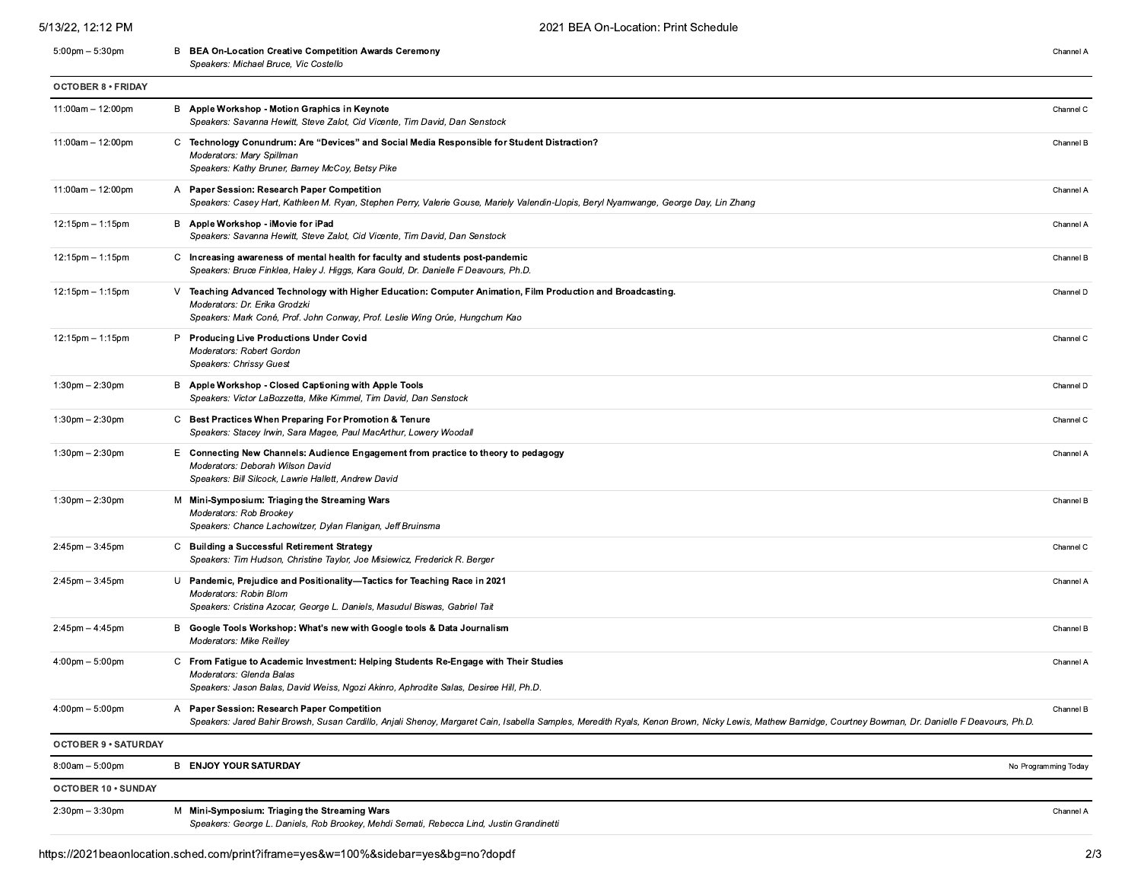## 5/13/22, 12:12 PM 5:00pm - 5:30pm

| Channel A |  |
|-----------|--|
|           |  |

|                                   | Speakers: Michael Bruce, Vic Costello                                                                                                                                                                                                                      |                      |
|-----------------------------------|------------------------------------------------------------------------------------------------------------------------------------------------------------------------------------------------------------------------------------------------------------|----------------------|
| <b>OCTOBER 8 • FRIDAY</b>         |                                                                                                                                                                                                                                                            |                      |
| $11:00am - 12:00pm$               | B Apple Workshop - Motion Graphics in Keynote<br>Speakers: Savanna Hewitt, Steve Zalot, Cid Vicente, Tim David, Dan Senstock                                                                                                                               | Channel C            |
| $11:00am - 12:00pm$               | C Technology Conundrum: Are "Devices" and Social Media Responsible for Student Distraction?<br>Moderators: Mary Spillman<br>Speakers: Kathy Bruner, Barney McCoy, Betsy Pike                                                                               | Channel B            |
| $11:00am - 12:00pm$               | A Paper Session: Research Paper Competition<br>Speakers: Casey Hart, Kathleen M. Ryan, Stephen Perry, Valerie Gouse, Mariely Valendin-Llopis, Beryl Nyamwange, George Day, Lin Zhang                                                                       | Channel A            |
| 12:15pm - 1:15pm                  | B Apple Workshop - iMovie for iPad<br>Speakers: Savanna Hewitt, Steve Zalot, Cid Vicente, Tim David, Dan Senstock                                                                                                                                          | Channel A            |
| $12:15$ pm $-1:15$ pm             | C Increasing awareness of mental health for faculty and students post-pandemic<br>Speakers: Bruce Finklea, Haley J. Higgs, Kara Gould, Dr. Danielle F Deavours, Ph.D.                                                                                      | Channel B            |
| $12:15$ pm $-1:15$ pm             | Teaching Advanced Technology with Higher Education: Computer Animation, Film Production and Broadcasting.<br>v.<br>Moderators: Dr. Erika Grodzki<br>Speakers: Mark Coné, Prof. John Conway, Prof. Leslie Wing Orúe, Hungchum Kao                           | Channel D            |
| $12:15$ pm $-1:15$ pm             | P Producing Live Productions Under Covid<br>Moderators: Robert Gordon<br>Speakers: Chrissy Guest                                                                                                                                                           | Channel C            |
| $1:30$ pm $- 2:30$ pm             | B Apple Workshop - Closed Captioning with Apple Tools<br>Speakers: Victor LaBozzetta, Mike Kimmel, Tim David, Dan Senstock                                                                                                                                 | Channel D            |
| $1:30 \text{pm} - 2:30 \text{pm}$ | C Best Practices When Preparing For Promotion & Tenure<br>Speakers: Stacey Irwin, Sara Magee, Paul MacArthur, Lowery Woodall                                                                                                                               | Channel C            |
| $1:30$ pm $- 2:30$ pm             | Connecting New Channels: Audience Engagement from practice to theory to pedagogy<br>Е.<br>Moderators: Deborah Wilson David<br>Speakers: Bill Silcock, Lawrie Hallett, Andrew David                                                                         | Channel A            |
| $1:30$ pm $- 2:30$ pm             | Mini-Symposium: Triaging the Streaming Wars<br>м<br>Moderators: Rob Brookey<br>Speakers: Chance Lachowitzer, Dylan Flanigan, Jeff Bruinsma                                                                                                                 | Channel B            |
| $2:45$ pm $-3:45$ pm              | C Building a Successful Retirement Strategy<br>Speakers: Tim Hudson, Christine Taylor, Joe Misiewicz, Frederick R. Berger                                                                                                                                  | Channel C            |
| $2:45$ pm $-3:45$ pm              | U Pandemic, Prejudice and Positionality-Tactics for Teaching Race in 2021<br>Moderators: Robin Blom<br>Speakers: Cristina Azocar, George L. Daniels, Masudul Biswas, Gabriel Tait                                                                          | Channel A            |
| $2:45$ pm $-4:45$ pm              | Google Tools Workshop: What's new with Google tools & Data Journalism<br>в<br>Moderators: Mike Reilley                                                                                                                                                     | Channel B            |
| $4:00 \text{pm} - 5:00 \text{pm}$ | From Fatigue to Academic Investment: Helping Students Re-Engage with Their Studies<br>C<br>Moderators: Glenda Balas<br>Speakers: Jason Balas, David Weiss, Ngozi Akinro, Aphrodite Salas, Desiree Hill, Ph.D.                                              | Channel A            |
| $4:00 \text{pm} - 5:00 \text{pm}$ | Paper Session: Research Paper Competition<br>A<br>Speakers: Jared Bahir Browsh, Susan Cardillo, Anjali Shenoy, Margaret Cain, Isabella Samples, Meredith Ryals, Kenon Brown, Nicky Lewis, Mathew Barnidge, Courtney Bowman, Dr. Danielle F Deavours, Ph.D. | Channel B            |
| <b>OCTOBER 9 · SATURDAY</b>       |                                                                                                                                                                                                                                                            |                      |
| $8:00am - 5:00pm$                 | <b>B ENJOY YOUR SATURDAY</b>                                                                                                                                                                                                                               | No Programming Today |
| OCTOBER 10 . SUNDAY               |                                                                                                                                                                                                                                                            |                      |
| $2:30$ pm $-3:30$ pm              | M Mini-Symposium: Triaging the Streaming Wars<br>Speakers: George L. Daniels, Rob Brookey, Mehdi Semati, Rebecca Lind, Justin Grandinetti                                                                                                                  | Channel A            |

**B** BEA On-Location Creative Competition Awards Ceremony